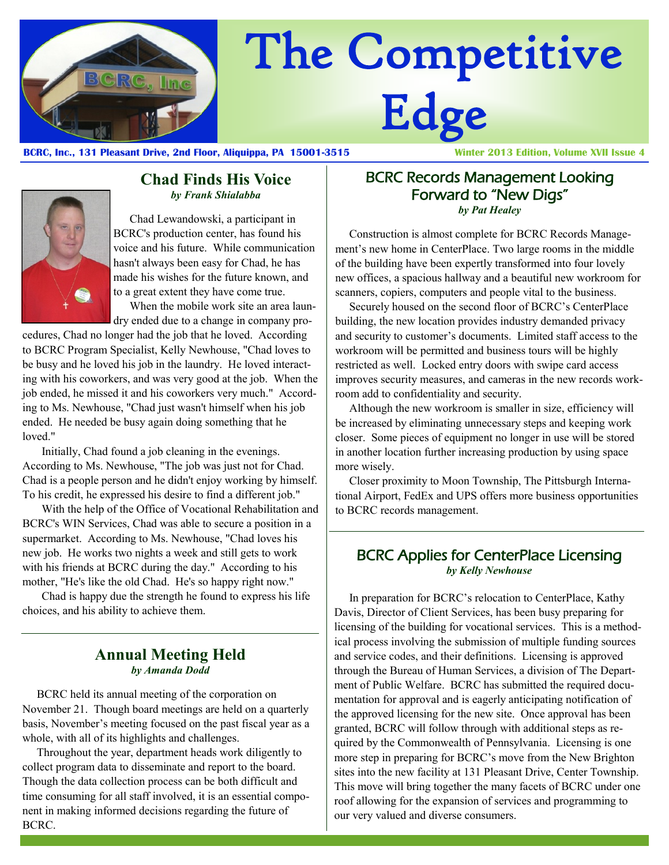

# The Competitive Edge

**BCRC, Inc., 131 Pleasant Drive, 2nd Floor, Aliquippa, PA 15001-3515 Winter 2013 Edition, Volume XVII Issue 4**



#### **Chad Finds His Voice** *by Frank Shialabba*

Chad Lewandowski, a participant in BCRC's production center, has found his voice and his future. While communication hasn't always been easy for Chad, he has made his wishes for the future known, and to a great extent they have come true. When the mobile work site an area laun-

dry ended due to a change in company pro-

cedures, Chad no longer had the job that he loved. According to BCRC Program Specialist, Kelly Newhouse, "Chad loves to be busy and he loved his job in the laundry. He loved interacting with his coworkers, and was very good at the job. When the job ended, he missed it and his coworkers very much." According to Ms. Newhouse, "Chad just wasn't himself when his job ended. He needed be busy again doing something that he loved."

Initially, Chad found a job cleaning in the evenings. According to Ms. Newhouse, "The job was just not for Chad. Chad is a people person and he didn't enjoy working by himself. To his credit, he expressed his desire to find a different job."

With the help of the Office of Vocational Rehabilitation and BCRC's WIN Services, Chad was able to secure a position in a supermarket. According to Ms. Newhouse, "Chad loves his new job. He works two nights a week and still gets to work with his friends at BCRC during the day." According to his mother, "He's like the old Chad. He's so happy right now."

Chad is happy due the strength he found to express his life choices, and his ability to achieve them.

# **Annual Meeting Held** *by Amanda Dodd*

BCRC held its annual meeting of the corporation on November 21. Though board meetings are held on a quarterly basis, November's meeting focused on the past fiscal year as a whole, with all of its highlights and challenges.

Throughout the year, department heads work diligently to collect program data to disseminate and report to the board. Though the data collection process can be both difficult and time consuming for all staff involved, it is an essential component in making informed decisions regarding the future of BCRC.

#### BCRC Records Management Looking Forward to "New Digs" *by Pat Healey*

Construction is almost complete for BCRC Records Management's new home in CenterPlace. Two large rooms in the middle of the building have been expertly transformed into four lovely new offices, a spacious hallway and a beautiful new workroom for scanners, copiers, computers and people vital to the business.

Securely housed on the second floor of BCRC's CenterPlace building, the new location provides industry demanded privacy and security to customer's documents. Limited staff access to the workroom will be permitted and business tours will be highly restricted as well. Locked entry doors with swipe card access improves security measures, and cameras in the new records workroom add to confidentiality and security.

Although the new workroom is smaller in size, efficiency will be increased by eliminating unnecessary steps and keeping work closer. Some pieces of equipment no longer in use will be stored in another location further increasing production by using space more wisely.

Closer proximity to Moon Township, The Pittsburgh International Airport, FedEx and UPS offers more business opportunities to BCRC records management.

### BCRC Applies for CenterPlace Licensing *by Kelly Newhouse*

In preparation for BCRC's relocation to CenterPlace, Kathy Davis, Director of Client Services, has been busy preparing for licensing of the building for vocational services. This is a methodical process involving the submission of multiple funding sources and service codes, and their definitions. Licensing is approved through the Bureau of Human Services, a division of The Department of Public Welfare. BCRC has submitted the required documentation for approval and is eagerly anticipating notification of the approved licensing for the new site. Once approval has been granted, BCRC will follow through with additional steps as required by the Commonwealth of Pennsylvania. Licensing is one more step in preparing for BCRC's move from the New Brighton sites into the new facility at 131 Pleasant Drive, Center Township. This move will bring together the many facets of BCRC under one roof allowing for the expansion of services and programming to our very valued and diverse consumers.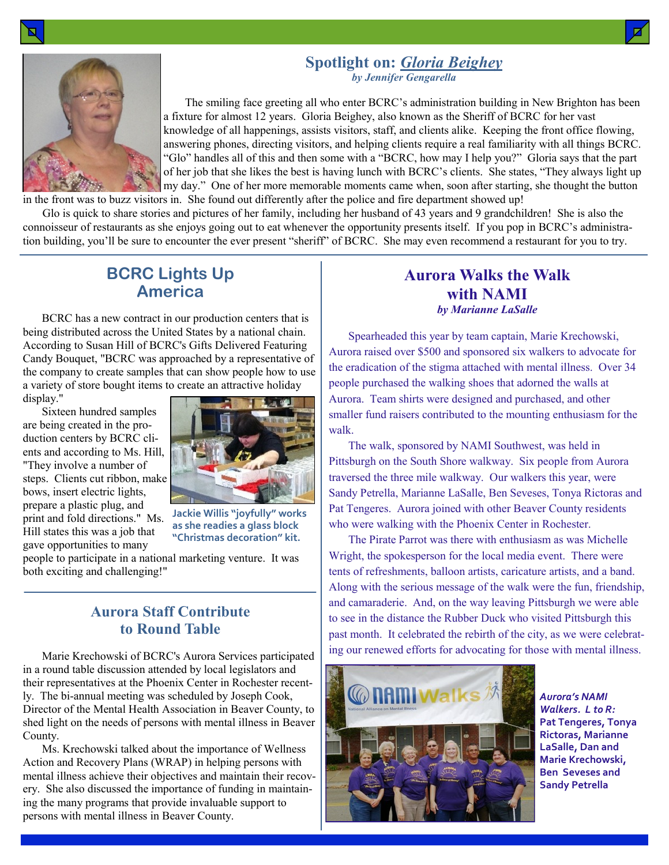#### **Spotlight on:** *Gloria Beighey by Jennifer Gengarella*



The smiling face greeting all who enter BCRC's administration building in New Brighton has been a fixture for almost 12 years. Gloria Beighey, also known as the Sheriff of BCRC for her vast knowledge of all happenings, assists visitors, staff, and clients alike. Keeping the front office flowing, answering phones, directing visitors, and helping clients require a real familiarity with all things BCRC. "Glo" handles all of this and then some with a "BCRC, how may I help you?" Gloria says that the part of her job that she likes the best is having lunch with BCRC's clients. She states, "They always light up my day." One of her more memorable moments came when, soon after starting, she thought the button

in the front was to buzz visitors in. She found out differently after the police and fire department showed up! Glo is quick to share stories and pictures of her family, including her husband of 43 years and 9 grandchildren! She is also the

connoisseur of restaurants as she enjoys going out to eat whenever the opportunity presents itself. If you pop in BCRC's administration building, you'll be sure to encounter the ever present "sheriff" of BCRC. She may even recommend a restaurant for you to try.

# **BCRC Lights Up America**

BCRC has a new contract in our production centers that is being distributed across the United States by a national chain. According to Susan Hill of BCRC's Gifts Delivered Featuring Candy Bouquet, "BCRC was approached by a representative of the company to create samples that can show people how to use a variety of store bought items to create an attractive holiday display."

Sixteen hundred samples are being created in the production centers by BCRC clients and according to Ms. Hill, "They involve a number of steps. Clients cut ribbon, make bows, insert electric lights, prepare a plastic plug, and print and fold directions." Ms. Hill states this was a job that gave opportunities to many



**Jackie Willis "joyfully" works as she readies a glass block "Christmas decoration" kit.**

people to participate in a national marketing venture. It was both exciting and challenging!"

# **Aurora Staff Contribute to Round Table**

Marie Krechowski of BCRC's Aurora Services participated in a round table discussion attended by local legislators and their representatives at the Phoenix Center in Rochester recently. The bi-annual meeting was scheduled by Joseph Cook, Director of the Mental Health Association in Beaver County, to shed light on the needs of persons with mental illness in Beaver County.

Ms. Krechowski talked about the importance of Wellness Action and Recovery Plans (WRAP) in helping persons with mental illness achieve their objectives and maintain their recovery. She also discussed the importance of funding in maintaining the many programs that provide invaluable support to persons with mental illness in Beaver County.

# **Aurora Walks the Walk with NAMI** *by Marianne LaSalle*

Spearheaded this year by team captain, Marie Krechowski, Aurora raised over \$500 and sponsored six walkers to advocate for the eradication of the stigma attached with mental illness. Over 34 people purchased the walking shoes that adorned the walls at Aurora. Team shirts were designed and purchased, and other smaller fund raisers contributed to the mounting enthusiasm for the walk.

The walk, sponsored by NAMI Southwest, was held in Pittsburgh on the South Shore walkway. Six people from Aurora traversed the three mile walkway. Our walkers this year, were Sandy Petrella, Marianne LaSalle, Ben Seveses, Tonya Rictoras and Pat Tengeres. Aurora joined with other Beaver County residents who were walking with the Phoenix Center in Rochester.

The Pirate Parrot was there with enthusiasm as was Michelle Wright, the spokesperson for the local media event. There were tents of refreshments, balloon artists, caricature artists, and a band. Along with the serious message of the walk were the fun, friendship, and camaraderie. And, on the way leaving Pittsburgh we were able to see in the distance the Rubber Duck who visited Pittsburgh this past month. It celebrated the rebirth of the city, as we were celebrating our renewed efforts for advocating for those with mental illness.



*Aurora's NAMI Walkers. L to R:*  **Pat Tengeres, Tonya Rictoras, Marianne LaSalle, Dan and Marie Krechowski, Ben Seveses and Sandy Petrella**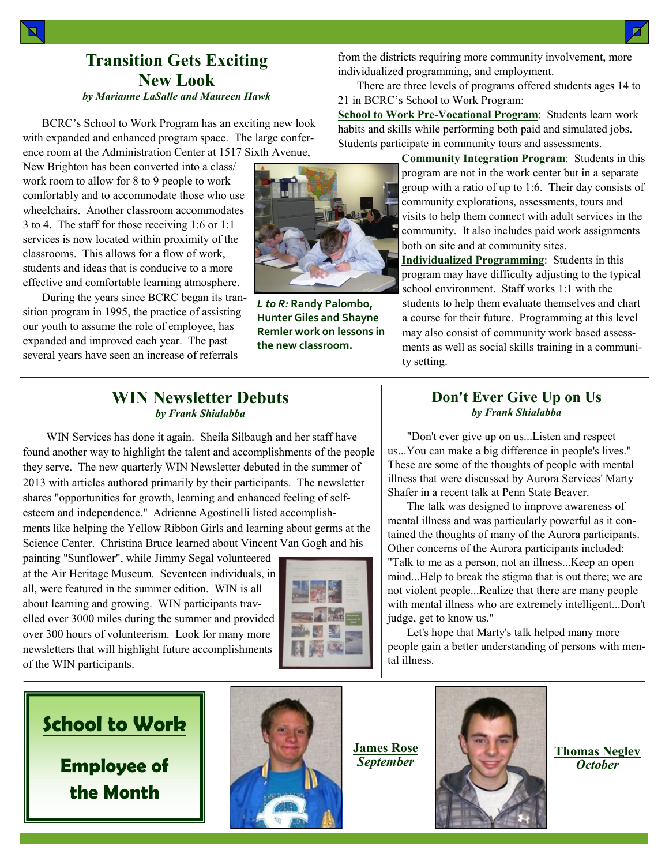# **Transition Gets Exciting New Look** *by Marianne LaSalle and Maureen Hawk*

BCRC's School to Work Program has an exciting new look with expanded and enhanced program space. The large conference room at the Administration Center at 1517 Sixth Avenue,

New Brighton has been converted into a class/ work room to allow for 8 to 9 people to work comfortably and to accommodate those who use wheelchairs. Another classroom accommodates 3 to 4. The staff for those receiving 1:6 or 1:1 services is now located within proximity of the classrooms. This allows for a flow of work, students and ideas that is conducive to a more effective and comfortable learning atmosphere.

During the years since BCRC began its transition program in 1995, the practice of assisting our youth to assume the role of employee, has expanded and improved each year. The past several years have seen an increase of referrals



*L to R:* **Randy Palombo, Hunter Giles and Shayne Remler work on lessons in the new classroom.**

from the districts requiring more community involvement, more individualized programming, and employment.

There are three levels of programs offered students ages 14 to 21 in BCRC's School to Work Program:

**School to Work Pre-Vocational Program**: Students learn work habits and skills while performing both paid and simulated jobs. Students participate in community tours and assessments.

> **Community Integration Program**: Students in this program are not in the work center but in a separate group with a ratio of up to 1:6. Their day consists of community explorations, assessments, tours and visits to help them connect with adult services in the community. It also includes paid work assignments both on site and at community sites.

> **Individualized Programming**: Students in this program may have difficulty adjusting to the typical school environment. Staff works 1:1 with the students to help them evaluate themselves and chart a course for their future. Programming at this level may also consist of community work based assessments as well as social skills training in a community setting.

#### **WIN Newsletter Debuts** *by Frank Shialabba*

WIN Services has done it again. Sheila Silbaugh and her staff have found another way to highlight the talent and accomplishments of the people they serve. The new quarterly WIN Newsletter debuted in the summer of 2013 with articles authored primarily by their participants. The newsletter shares "opportunities for growth, learning and enhanced feeling of selfesteem and independence." Adrienne Agostinelli listed accomplishments like helping the Yellow Ribbon Girls and learning about germs at the Science Center. Christina Bruce learned about Vincent Van Gogh and his

painting "Sunflower", while Jimmy Segal volunteered at the Air Heritage Museum. Seventeen individuals, in all, were featured in the summer edition. WIN is all about learning and growing. WIN participants travelled over 3000 miles during the summer and provided over 300 hours of volunteerism. Look for many more newsletters that will highlight future accomplishments of the WIN participants.



#### **Don't Ever Give Up on Us** *by Frank Shialabba*

"Don't ever give up on us...Listen and respect us...You can make a big difference in people's lives." These are some of the thoughts of people with mental illness that were discussed by Aurora Services' Marty Shafer in a recent talk at Penn State Beaver.

The talk was designed to improve awareness of mental illness and was particularly powerful as it contained the thoughts of many of the Aurora participants. Other concerns of the Aurora participants included: "Talk to me as a person, not an illness...Keep an open mind...Help to break the stigma that is out there; we are not violent people...Realize that there are many people with mental illness who are extremely intelligent...Don't judge, get to know us."

Let's hope that Marty's talk helped many more people gain a better understanding of persons with mental illness.

# **School to Work**

**Employee of the Month**



**James Rose** *September*